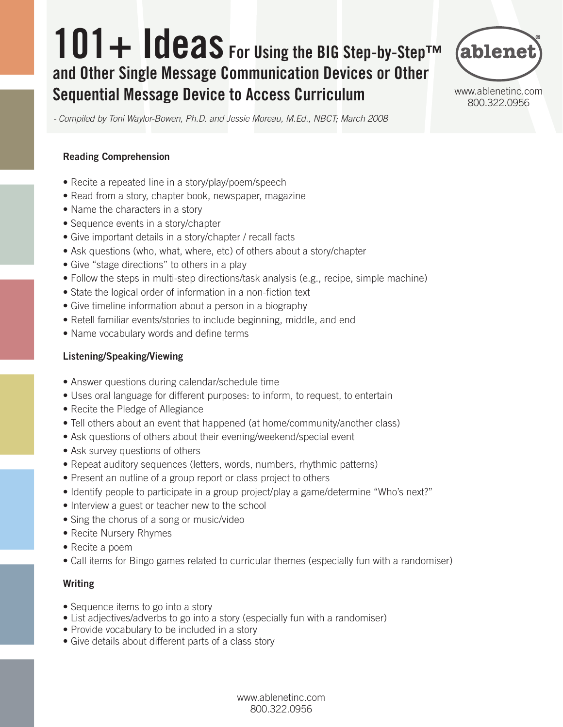# 101+ Ideas For Using the BIG Step-by-Step™ and Other Single Message Communication Devices or Other Sequential Message Device to Access Curriculum



www.ablenetinc.com 800.322.0956

*- Compiled by Toni Waylor-Bowen, Ph.D. and Jessie Moreau, M.Ed., NBCT; March 2008*

#### Reading Comprehension

- Recite a repeated line in a story/play/poem/speech
- Read from a story, chapter book, newspaper, magazine
- Name the characters in a story
- Sequence events in a story/chapter
- Give important details in a story/chapter / recall facts
- Ask questions (who, what, where, etc) of others about a story/chapter
- Give "stage directions" to others in a play
- Follow the steps in multi-step directions/task analysis (e.g., recipe, simple machine)
- State the logical order of information in a non-fiction text
- Give timeline information about a person in a biography
- Retell familiar events/stories to include beginning, middle, and end
- Name vocabulary words and define terms

#### Listening/Speaking/Viewing

- Answer questions during calendar/schedule time
- Uses oral language for different purposes: to inform, to request, to entertain
- Recite the Pledge of Allegiance
- Tell others about an event that happened (at home/community/another class)
- Ask questions of others about their evening/weekend/special event
- Ask survey questions of others
- Repeat auditory sequences (letters, words, numbers, rhythmic patterns)
- Present an outline of a group report or class project to others
- Identify people to participate in a group project/play a game/determine "Who's next?"
- Interview a guest or teacher new to the school
- Sing the chorus of a song or music/video
- Recite Nursery Rhymes
- Recite a poem
- Call items for Bingo games related to curricular themes (especially fun with a randomiser)

#### Writing

- Sequence items to go into a story
- List adjectives/adverbs to go into a story (especially fun with a randomiser)
- Provide vocabulary to be included in a story
- Give details about different parts of a class story

www.ablenetinc.com 800.322.0956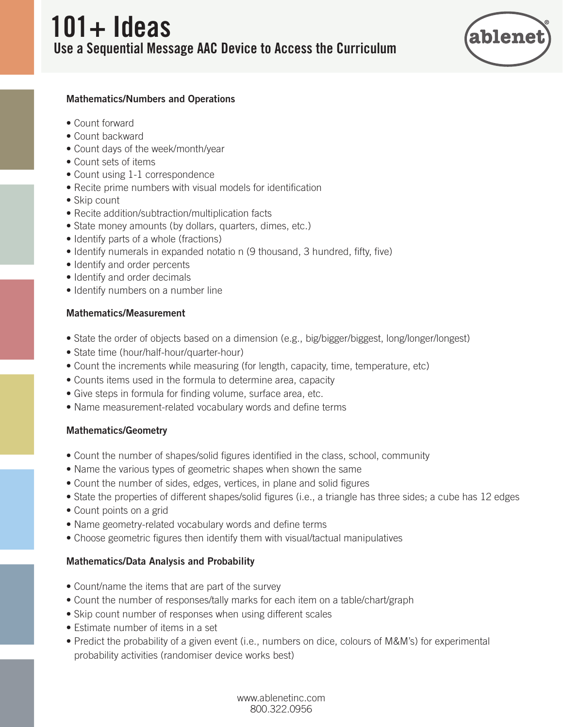

#### Mathematics/Numbers and Operations

- Count forward
- Count backward
- Count days of the week/month/year
- Count sets of items
- Count using 1-1 correspondence
- Recite prime numbers with visual models for identification
- Skip count
- Recite addition/subtraction/multiplication facts
- State money amounts (by dollars, quarters, dimes, etc.)
- Identify parts of a whole (fractions)
- Identify numerals in expanded notatio n (9 thousand, 3 hundred, fifty, five)
- Identify and order percents
- Identify and order decimals
- Identify numbers on a number line

### Mathematics/Measurement

- State the order of objects based on a dimension (e.g., big/bigger/biggest, long/longer/longest)
- State time (hour/half-hour/quarter-hour)
- Count the increments while measuring (for length, capacity, time, temperature, etc)
- Counts items used in the formula to determine area, capacity
- Give steps in formula for finding volume, surface area, etc.
- Name measurement-related vocabulary words and define terms

#### Mathematics/Geometry

- Count the number of shapes/solid figures identified in the class, school, community
- Name the various types of geometric shapes when shown the same
- Count the number of sides, edges, vertices, in plane and solid figures
- State the properties of different shapes/solid figures (i.e., a triangle has three sides; a cube has 12 edges
- Count points on a grid
- Name geometry-related vocabulary words and define terms
- Choose geometric figures then identify them with visual/tactual manipulatives

# Mathematics/Data Analysis and Probability

- Count/name the items that are part of the survey
- Count the number of responses/tally marks for each item on a table/chart/graph
- Skip count number of responses when using different scales
- Estimate number of items in a set
- Predict the probability of a given event (i.e., numbers on dice, colours of M&M's) for experimental probability activities (randomiser device works best)